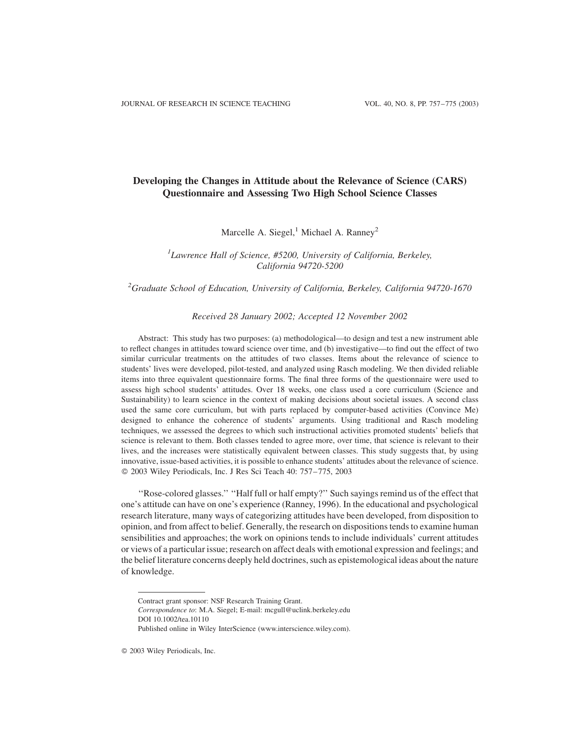# Developing the Changes in Attitude about the Relevance of Science (CARS) Questionnaire and Assessing Two High School Science Classes

# Marcelle A. Siegel,<sup>1</sup> Michael A. Ranney<sup>2</sup>

# <sup>1</sup>Lawrence Hall of Science, #5200, University of California, Berkeley, California 94720-5200

# <sup>2</sup>Graduate School of Education, University of California, Berkeley, California 94720-1670

# Received 28 January 2002; Accepted 12 November 2002

Abstract: This study has two purposes: (a) methodological—to design and test a new instrument able to reflect changes in attitudes toward science over time, and (b) investigative—to find out the effect of two similar curricular treatments on the attitudes of two classes. Items about the relevance of science to students' lives were developed, pilot-tested, and analyzed using Rasch modeling. We then divided reliable items into three equivalent questionnaire forms. The final three forms of the questionnaire were used to assess high school students' attitudes. Over 18 weeks, one class used a core curriculum (Science and Sustainability) to learn science in the context of making decisions about societal issues. A second class used the same core curriculum, but with parts replaced by computer-based activities (Convince Me) designed to enhance the coherence of students' arguments. Using traditional and Rasch modeling techniques, we assessed the degrees to which such instructional activities promoted students' beliefs that science is relevant to them. Both classes tended to agree more, over time, that science is relevant to their lives, and the increases were statistically equivalent between classes. This study suggests that, by using innovative, issue-based activities, it is possible to enhance students' attitudes about the relevance of science. ! 2003 Wiley Periodicals, Inc. J Res Sci Teach 40: 757–775, 2003

''Rose-colored glasses.'' ''Half full or half empty?'' Such sayings remind us of the effect that one's attitude can have on one's experience (Ranney, 1996). In the educational and psychological research literature, many ways of categorizing attitudes have been developed, from disposition to opinion, and from affect to belief. Generally, the research on dispositions tends to examine human sensibilities and approaches; the work on opinions tends to include individuals' current attitudes or views of a particular issue; research on affect deals with emotional expression and feelings; and the belief literature concerns deeply held doctrines, such as epistemological ideas about the nature of knowledge.

DOI 10.1002/tea.10110

Contract grant sponsor: NSF Research Training Grant.

Correspondence to: M.A. Siegel; E-mail: mcgull@uclink.berkeley.edu

Published online in Wiley InterScience (www.interscience.wiley.com).

 $©$  2003 Wiley Periodicals, Inc.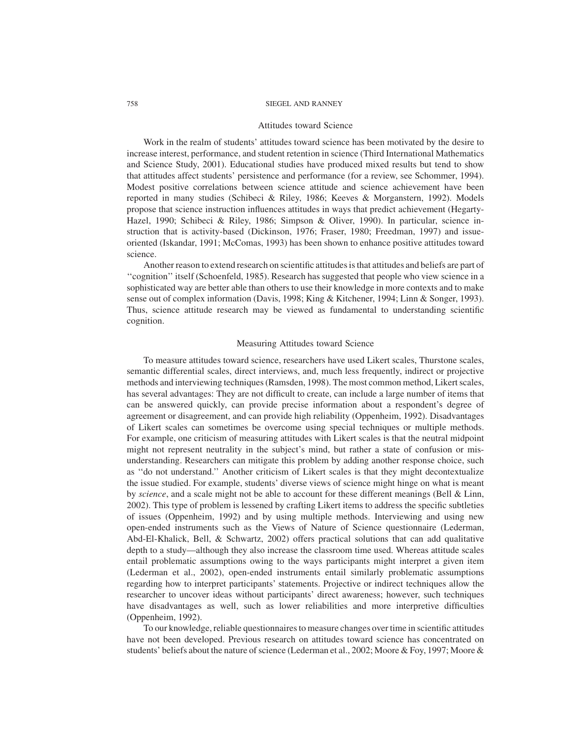#### Attitudes toward Science

Work in the realm of students' attitudes toward science has been motivated by the desire to increase interest, performance, and student retention in science (Third International Mathematics and Science Study, 2001). Educational studies have produced mixed results but tend to show that attitudes affect students' persistence and performance (for a review, see Schommer, 1994). Modest positive correlations between science attitude and science achievement have been reported in many studies (Schibeci & Riley, 1986; Keeves & Morganstern, 1992). Models propose that science instruction influences attitudes in ways that predict achievement (Hegarty-Hazel, 1990; Schibeci & Riley, 1986; Simpson & Oliver, 1990). In particular, science instruction that is activity-based (Dickinson, 1976; Fraser, 1980; Freedman, 1997) and issueoriented (Iskandar, 1991; McComas, 1993) has been shown to enhance positive attitudes toward science.

Another reason to extend research on scientific attitudes is that attitudes and beliefs are part of ''cognition'' itself (Schoenfeld, 1985). Research has suggested that people who view science in a sophisticated way are better able than others to use their knowledge in more contexts and to make sense out of complex information (Davis, 1998; King & Kitchener, 1994; Linn & Songer, 1993). Thus, science attitude research may be viewed as fundamental to understanding scientific cognition.

# Measuring Attitudes toward Science

To measure attitudes toward science, researchers have used Likert scales, Thurstone scales, semantic differential scales, direct interviews, and, much less frequently, indirect or projective methods and interviewing techniques (Ramsden, 1998). The most common method, Likert scales, has several advantages: They are not difficult to create, can include a large number of items that can be answered quickly, can provide precise information about a respondent's degree of agreement or disagreement, and can provide high reliability (Oppenheim, 1992). Disadvantages of Likert scales can sometimes be overcome using special techniques or multiple methods. For example, one criticism of measuring attitudes with Likert scales is that the neutral midpoint might not represent neutrality in the subject's mind, but rather a state of confusion or misunderstanding. Researchers can mitigate this problem by adding another response choice, such as ''do not understand.'' Another criticism of Likert scales is that they might decontextualize the issue studied. For example, students' diverse views of science might hinge on what is meant by science, and a scale might not be able to account for these different meanings (Bell & Linn, 2002). This type of problem is lessened by crafting Likert items to address the specific subtleties of issues (Oppenheim, 1992) and by using multiple methods. Interviewing and using new open-ended instruments such as the Views of Nature of Science questionnaire (Lederman, Abd-El-Khalick, Bell, & Schwartz, 2002) offers practical solutions that can add qualitative depth to a study—although they also increase the classroom time used. Whereas attitude scales entail problematic assumptions owing to the ways participants might interpret a given item (Lederman et al., 2002), open-ended instruments entail similarly problematic assumptions regarding how to interpret participants' statements. Projective or indirect techniques allow the researcher to uncover ideas without participants' direct awareness; however, such techniques have disadvantages as well, such as lower reliabilities and more interpretive difficulties (Oppenheim, 1992).

To our knowledge, reliable questionnaires to measure changes over time in scientific attitudes have not been developed. Previous research on attitudes toward science has concentrated on students' beliefs about the nature of science (Lederman et al., 2002; Moore & Foy, 1997; Moore &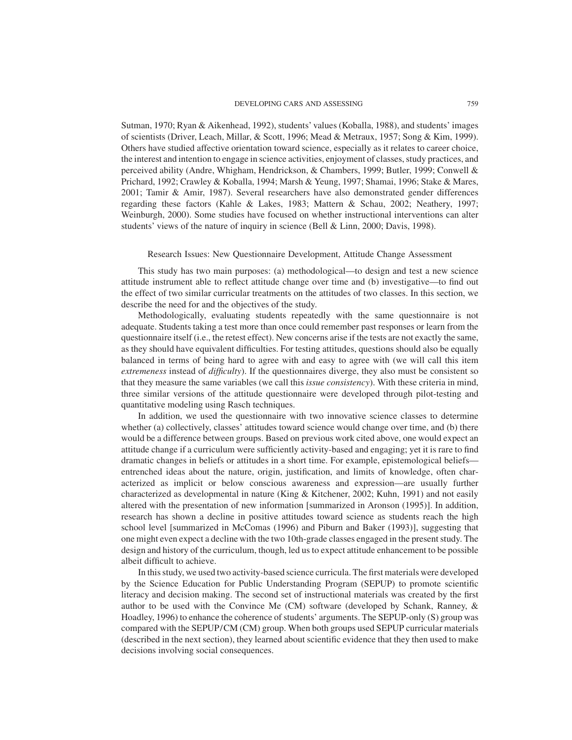#### DEVELOPING CARS AND ASSESSING 759

Sutman, 1970; Ryan & Aikenhead, 1992), students' values (Koballa, 1988), and students' images of scientists (Driver, Leach, Millar, & Scott, 1996; Mead & Metraux, 1957; Song & Kim, 1999). Others have studied affective orientation toward science, especially as it relates to career choice, the interest and intention to engage in science activities, enjoyment of classes, study practices, and perceived ability (Andre, Whigham, Hendrickson, & Chambers, 1999; Butler, 1999; Conwell & Prichard, 1992; Crawley & Koballa, 1994; Marsh & Yeung, 1997; Shamai, 1996; Stake & Mares, 2001; Tamir & Amir, 1987). Several researchers have also demonstrated gender differences regarding these factors (Kahle & Lakes, 1983; Mattern & Schau, 2002; Neathery, 1997; Weinburgh, 2000). Some studies have focused on whether instructional interventions can alter students' views of the nature of inquiry in science (Bell & Linn, 2000; Davis, 1998).

#### Research Issues: New Questionnaire Development, Attitude Change Assessment

This study has two main purposes: (a) methodological—to design and test a new science attitude instrument able to reflect attitude change over time and (b) investigative—to find out the effect of two similar curricular treatments on the attitudes of two classes. In this section, we describe the need for and the objectives of the study.

Methodologically, evaluating students repeatedly with the same questionnaire is not adequate. Students taking a test more than once could remember past responses or learn from the questionnaire itself (i.e., the retest effect). New concerns arise if the tests are not exactly the same, as they should have equivalent difficulties. For testing attitudes, questions should also be equally balanced in terms of being hard to agree with and easy to agree with (we will call this item extremeness instead of *difficulty*). If the questionnaires diverge, they also must be consistent so that they measure the same variables (we call this *issue consistency*). With these criteria in mind, three similar versions of the attitude questionnaire were developed through pilot-testing and quantitative modeling using Rasch techniques.

In addition, we used the questionnaire with two innovative science classes to determine whether (a) collectively, classes' attitudes toward science would change over time, and (b) there would be a difference between groups. Based on previous work cited above, one would expect an attitude change if a curriculum were sufficiently activity-based and engaging; yet it is rare to find dramatic changes in beliefs or attitudes in a short time. For example, epistemological beliefs entrenched ideas about the nature, origin, justification, and limits of knowledge, often characterized as implicit or below conscious awareness and expression—are usually further characterized as developmental in nature (King & Kitchener, 2002; Kuhn, 1991) and not easily altered with the presentation of new information [summarized in Aronson (1995)]. In addition, research has shown a decline in positive attitudes toward science as students reach the high school level [summarized in McComas (1996) and Piburn and Baker (1993)], suggesting that one might even expect a decline with the two 10th-grade classes engaged in the presentstudy. The design and history of the curriculum, though, led us to expect attitude enhancement to be possible albeit difficult to achieve.

In thisstudy, we used two activity-based science curricula. The first materials were developed by the Science Education for Public Understanding Program (SEPUP) to promote scientific literacy and decision making. The second set of instructional materials was created by the first author to be used with the Convince Me (CM) software (developed by Schank, Ranney, & Hoadley, 1996) to enhance the coherence of students' arguments. The SEPUP-only (S) group was compared with the SEPUP/CM (CM) group. When both groups used SEPUP curricular materials (described in the next section), they learned about scientific evidence that they then used to make decisions involving social consequences.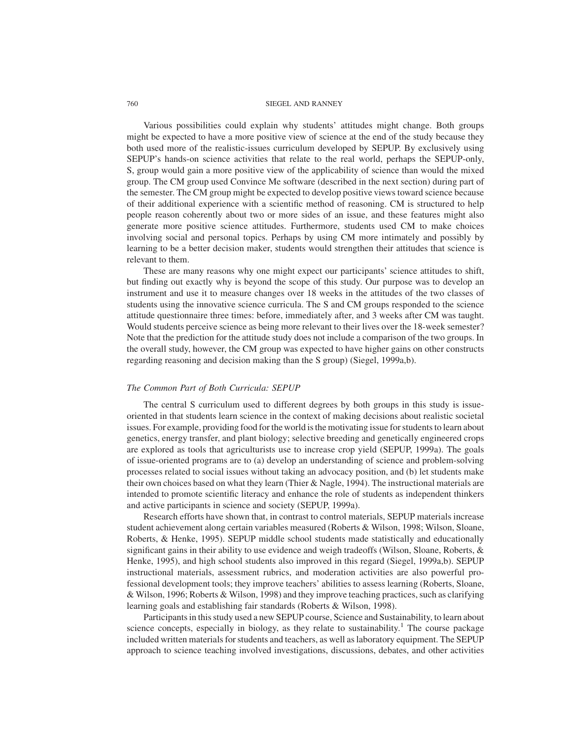Various possibilities could explain why students' attitudes might change. Both groups might be expected to have a more positive view of science at the end of the study because they both used more of the realistic-issues curriculum developed by SEPUP. By exclusively using SEPUP's hands-on science activities that relate to the real world, perhaps the SEPUP-only, S, group would gain a more positive view of the applicability of science than would the mixed group. The CM group used Convince Me software (described in the next section) during part of the semester. The CM group might be expected to develop positive views toward science because of their additional experience with a scientific method of reasoning. CM is structured to help people reason coherently about two or more sides of an issue, and these features might also generate more positive science attitudes. Furthermore, students used CM to make choices involving social and personal topics. Perhaps by using CM more intimately and possibly by learning to be a better decision maker, students would strengthen their attitudes that science is relevant to them.

These are many reasons why one might expect our participants' science attitudes to shift, but finding out exactly why is beyond the scope of this study. Our purpose was to develop an instrument and use it to measure changes over 18 weeks in the attitudes of the two classes of students using the innovative science curricula. The S and CM groups responded to the science attitude questionnaire three times: before, immediately after, and 3 weeks after CM was taught. Would students perceive science as being more relevant to their lives over the 18-week semester? Note that the prediction for the attitude study does not include a comparison of the two groups. In the overall study, however, the CM group was expected to have higher gains on other constructs regarding reasoning and decision making than the S group) (Siegel, 1999a,b).

### The Common Part of Both Curricula: SEPUP

The central S curriculum used to different degrees by both groups in this study is issueoriented in that students learn science in the context of making decisions about realistic societal issues. For example, providing food fortheworld isthe motivating issue forstudentsto learn about genetics, energy transfer, and plant biology; selective breeding and genetically engineered crops are explored as tools that agriculturists use to increase crop yield (SEPUP, 1999a). The goals of issue-oriented programs are to (a) develop an understanding of science and problem-solving processes related to social issues without taking an advocacy position, and (b) let students make their own choices based on what they learn (Thier & Nagle, 1994). The instructional materials are intended to promote scientific literacy and enhance the role of students as independent thinkers and active participants in science and society (SEPUP, 1999a).

Research efforts have shown that, in contrast to control materials, SEPUP materials increase student achievement along certain variables measured (Roberts & Wilson, 1998; Wilson, Sloane, Roberts, & Henke, 1995). SEPUP middle school students made statistically and educationally significant gains in their ability to use evidence and weigh tradeoffs (Wilson, Sloane, Roberts, & Henke, 1995), and high school students also improved in this regard (Siegel, 1999a,b). SEPUP instructional materials, assessment rubrics, and moderation activities are also powerful professional development tools; they improve teachers' abilities to assess learning (Roberts, Sloane, & Wilson, 1996; Roberts & Wilson, 1998) and they improve teaching practices, such as clarifying learning goals and establishing fair standards (Roberts & Wilson, 1998).

Participants in this study used a new SEPUP course, Science and Sustainability, to learn about science concepts, especially in biology, as they relate to sustainability.<sup>1</sup> The course package included written materials for students and teachers, as well as laboratory equipment. The SEPUP approach to science teaching involved investigations, discussions, debates, and other activities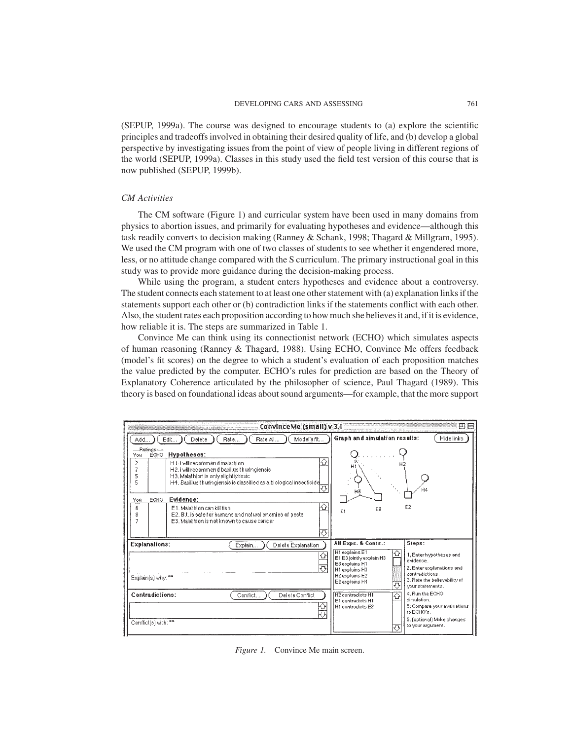(SEPUP, 1999a). The course was designed to encourage students to (a) explore the scientific principles and tradeoffsinvolved in obtaining their desired quality of life, and (b) develop a global perspective by investigating issues from the point of view of people living in different regions of the world (SEPUP, 1999a). Classes in this study used the field test version of this course that is now published (SEPUP, 1999b).

### CM Activities

The CM software (Figure 1) and curricular system have been used in many domains from physics to abortion issues, and primarily for evaluating hypotheses and evidence—although this task readily converts to decision making (Ranney & Schank, 1998; Thagard & Millgram, 1995). We used the CM program with one of two classes of students to see whether it engendered more, less, or no attitude change compared with the S curriculum. The primary instructional goal in this study was to provide more guidance during the decision-making process.

While using the program, a student enters hypotheses and evidence about a controversy. The student connects each statement to at least one other statement with (a) explanation links if the statements support each other or (b) contradiction links if the statements conflict with each other. Also, the studentrates each proposition according to how much she believesit and, ifit is evidence, how reliable it is. The steps are summarized in Table 1.

Convince Me can think using its connectionist network (ECHO) which simulates aspects of human reasoning (Ranney & Thagard, 1988). Using ECHO, Convince Me offers feedback (model's fit scores) on the degree to which a student's evaluation of each proposition matches the value predicted by the computer. ECHO's rules for prediction are based on the Theory of Explanatory Coherence articulated by the philosopher of science, Paul Thagard (1989). This theory is based on foundational ideas aboutsound arguments—for example, that the more support



Figure 1. Convince Me main screen.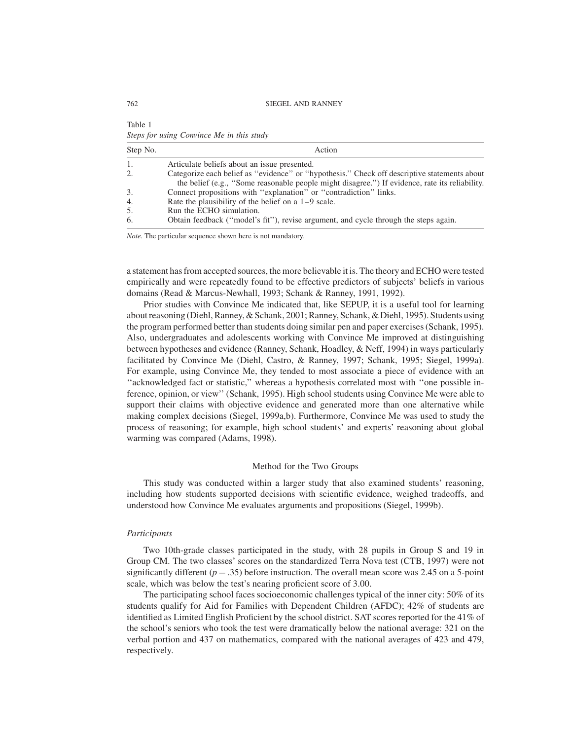| Steps for using Convince Me in this study |                                                                                                                                                                                                |  |  |  |  |
|-------------------------------------------|------------------------------------------------------------------------------------------------------------------------------------------------------------------------------------------------|--|--|--|--|
| Step No.                                  | Action                                                                                                                                                                                         |  |  |  |  |
| -1.                                       | Articulate beliefs about an issue presented.                                                                                                                                                   |  |  |  |  |
| 2.                                        | Categorize each belief as "evidence" or "hypothesis." Check off descriptive statements about<br>the belief (e.g., "Some reasonable people might disagree.") If evidence, rate its reliability. |  |  |  |  |
| 3.                                        | Connect propositions with "explanation" or "contradiction" links.                                                                                                                              |  |  |  |  |
| 4.                                        | Rate the plausibility of the belief on a $1-9$ scale.                                                                                                                                          |  |  |  |  |
| 5.                                        | Run the ECHO simulation.                                                                                                                                                                       |  |  |  |  |
| 6.                                        | Obtain feedback ("model's fit"), revise argument, and cycle through the steps again.                                                                                                           |  |  |  |  |

Steps for using Convince Me in this study

Note. The particular sequence shown here is not mandatory.

a statement hasfrom accepted sources, the more believable it is. The theory and ECHO were tested empirically and were repeatedly found to be effective predictors of subjects' beliefs in various domains (Read & Marcus-Newhall, 1993; Schank & Ranney, 1991, 1992).

Prior studies with Convince Me indicated that, like SEPUP, it is a useful tool for learning about reasoning (Diehl, Ranney, & Schank, 2001; Ranney, Schank, & Diehl, 1995). Students using the program performed better than students doing similar pen and paper exercises(Schank, 1995). Also, undergraduates and adolescents working with Convince Me improved at distinguishing between hypotheses and evidence (Ranney, Schank, Hoadley, & Neff, 1994) in ways particularly facilitated by Convince Me (Diehl, Castro, & Ranney, 1997; Schank, 1995; Siegel, 1999a). For example, using Convince Me, they tended to most associate a piece of evidence with an ''acknowledged fact or statistic,'' whereas a hypothesis correlated most with ''one possible inference, opinion, or view'' (Schank, 1995). High school students using Convince Me were able to support their claims with objective evidence and generated more than one alternative while making complex decisions (Siegel, 1999a,b). Furthermore, Convince Me was used to study the process of reasoning; for example, high school students' and experts' reasoning about global warming was compared (Adams, 1998).

#### Method for the Two Groups

This study was conducted within a larger study that also examined students' reasoning, including how students supported decisions with scientific evidence, weighed tradeoffs, and understood how Convince Me evaluates arguments and propositions (Siegel, 1999b).

# Participants

Two 10th-grade classes participated in the study, with 28 pupils in Group S and 19 in Group CM. The two classes' scores on the standardized Terra Nova test (CTB, 1997) were not significantly different ( $p = .35$ ) before instruction. The overall mean score was 2.45 on a 5-point scale, which was below the test's nearing proficient score of 3.00.

The participating school faces socioeconomic challenges typical of the inner city: 50% of its students qualify for Aid for Families with Dependent Children (AFDC); 42% of students are identified as Limited English Proficient by the school district. SAT scores reported for the 41% of the school's seniors who took the test were dramatically below the national average: 321 on the verbal portion and 437 on mathematics, compared with the national averages of 423 and 479, respectively.

Table 1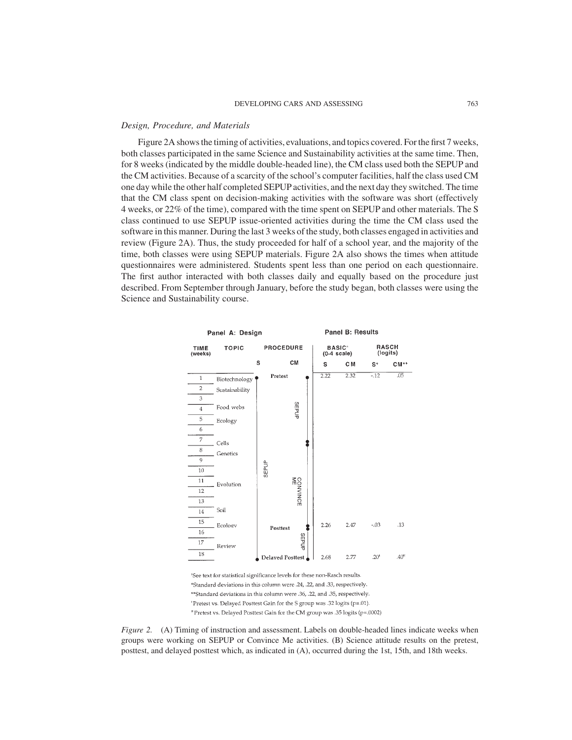#### DEVELOPING CARS AND ASSESSING 763

# Design, Procedure, and Materials

Figure 2A showsthe timing of activities, evaluations, and topics covered. Forthe first 7 weeks, both classes participated in the same Science and Sustainability activities at the same time. Then, for 8 weeks (indicated by the middle double-headed line), the CM class used both the SEPUP and the CM activities. Because of a scarcity of the school's computer facilities, half the class used CM one day while the other half completed SEPUP activities, and the next day they switched. The time that the CM class spent on decision-making activities with the software was short (effectively 4 weeks, or 22% of the time), compared with the time spent on SEPUP and other materials. The S class continued to use SEPUP issue-oriented activities during the time the CM class used the software in this manner. During the last 3 weeks of the study, both classes engaged in activities and review (Figure 2A). Thus, the study proceeded for half of a school year, and the majority of the time, both classes were using SEPUP materials. Figure 2A also shows the times when attitude questionnaires were administered. Students spent less than one period on each questionnaire. The first author interacted with both classes daily and equally based on the procedure just described. From September through January, before the study began, both classes were using the Science and Sustainability course.



<sup>a</sup>See text for statistical significance levels for these non-Rasch results \*Standard deviations in this column were .24, .22, and .33, respectively. \*\* Standard deviations in this column were .36, .22, and .35, respectively. 'Pretest vs. Delayed Posttest Gain for the S group was .32 logits (p=.01). "Pretest vs. Delayed Posttest Gain for the CM group was .35 logits (p=.0002)

Figure 2. (A) Timing of instruction and assessment. Labels on double-headed lines indicate weeks when groups were working on SEPUP or Convince Me activities. (B) Science attitude results on the pretest, posttest, and delayed posttest which, as indicated in (A), occurred during the 1st, 15th, and 18th weeks.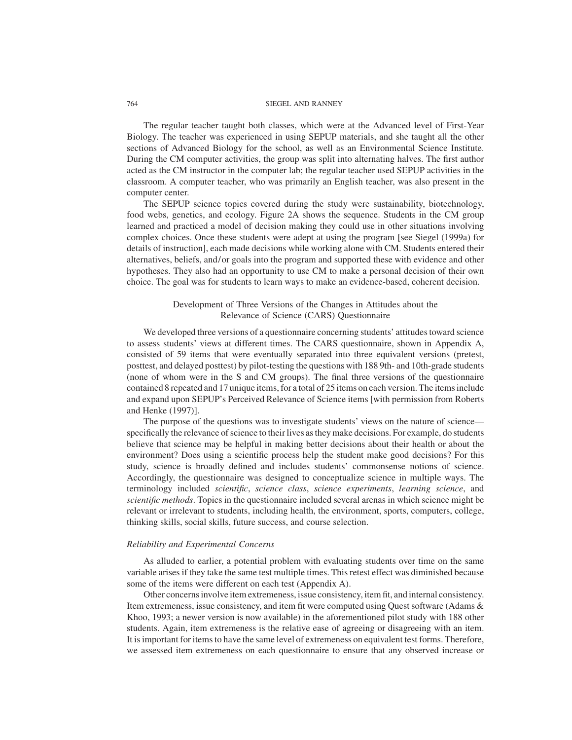The regular teacher taught both classes, which were at the Advanced level of First-Year Biology. The teacher was experienced in using SEPUP materials, and she taught all the other sections of Advanced Biology for the school, as well as an Environmental Science Institute. During the CM computer activities, the group was split into alternating halves. The first author acted as the CM instructor in the computer lab; the regular teacher used SEPUP activities in the classroom. A computer teacher, who was primarily an English teacher, was also present in the computer center.

The SEPUP science topics covered during the study were sustainability, biotechnology, food webs, genetics, and ecology. Figure 2A shows the sequence. Students in the CM group learned and practiced a model of decision making they could use in other situations involving complex choices. Once these students were adept at using the program [see Siegel (1999a) for details of instruction], each made decisions while working alone with CM. Students entered their alternatives, beliefs, and/or goals into the program and supported these with evidence and other hypotheses. They also had an opportunity to use CM to make a personal decision of their own choice. The goal was for students to learn ways to make an evidence-based, coherent decision.

# Development of Three Versions of the Changes in Attitudes about the Relevance of Science (CARS) Questionnaire

We developed three versions of a questionnaire concerning students' attitudes toward science to assess students' views at different times. The CARS questionnaire, shown in Appendix A, consisted of 59 items that were eventually separated into three equivalent versions (pretest, posttest, and delayed posttest) by pilot-testing the questions with 188 9th- and 10th-grade students (none of whom were in the S and CM groups). The final three versions of the questionnaire contained 8 repeated and 17 unique items, for a total of 25 items on each version. The items include and expand upon SEPUP's Perceived Relevance of Science items [with permission from Roberts and Henke (1997)].

The purpose of the questions was to investigate students' views on the nature of science specifically the relevance of science to their lives as they make decisions. For example, do students believe that science may be helpful in making better decisions about their health or about the environment? Does using a scientific process help the student make good decisions? For this study, science is broadly defined and includes students' commonsense notions of science. Accordingly, the questionnaire was designed to conceptualize science in multiple ways. The terminology included scientific, science class, science experiments, learning science, and scientific methods. Topics in the questionnaire included several arenas in which science might be relevant or irrelevant to students, including health, the environment, sports, computers, college, thinking skills, social skills, future success, and course selection.

# Reliability and Experimental Concerns

As alluded to earlier, a potential problem with evaluating students over time on the same variable arises if they take the same test multiple times. This retest effect was diminished because some of the items were different on each test (Appendix A).

Other concernsinvolve itemextremeness, issue consistency, item fit, and internal consistency. Item extremeness, issue consistency, and item fit were computed using Quest software (Adams & Khoo, 1993; a newer version is now available) in the aforementioned pilot study with 188 other students. Again, item extremeness is the relative ease of agreeing or disagreeing with an item. It isimportant for itemsto have the same level of extremeness on equivalent test forms. Therefore, we assessed item extremeness on each questionnaire to ensure that any observed increase or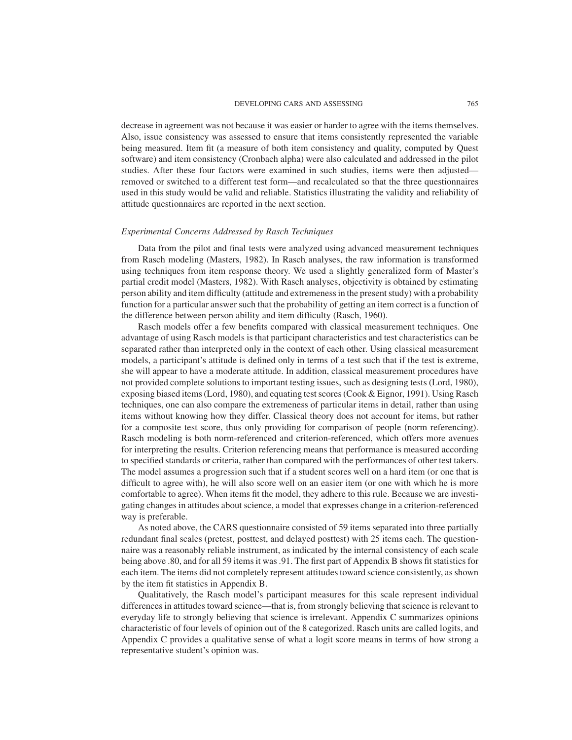#### DEVELOPING CARS AND ASSESSING 765

decrease in agreement was not because it was easier or harder to agree with the items themselves. Also, issue consistency was assessed to ensure that items consistently represented the variable being measured. Item fit (a measure of both item consistency and quality, computed by Quest software) and item consistency (Cronbach alpha) were also calculated and addressed in the pilot studies. After these four factors were examined in such studies, items were then adjusted removed or switched to a different test form—and recalculated so that the three questionnaires used in this study would be valid and reliable. Statistics illustrating the validity and reliability of attitude questionnaires are reported in the next section.

### Experimental Concerns Addressed by Rasch Techniques

Data from the pilot and final tests were analyzed using advanced measurement techniques from Rasch modeling (Masters, 1982). In Rasch analyses, the raw information is transformed using techniques from item response theory. We used a slightly generalized form of Master's partial credit model (Masters, 1982). With Rasch analyses, objectivity is obtained by estimating person ability and item difficulty (attitude and extremenessin the presentstudy) with a probability function for a particular answer such that the probability of getting an item correct is a function of the difference between person ability and item difficulty (Rasch, 1960).

Rasch models offer a few benefits compared with classical measurement techniques. One advantage of using Rasch models is that participant characteristics and test characteristics can be separated rather than interpreted only in the context of each other. Using classical measurement models, a participant's attitude is defined only in terms of a test such that if the test is extreme, she will appear to have a moderate attitude. In addition, classical measurement procedures have not provided complete solutions to important testing issues, such as designing tests (Lord, 1980), exposing biased items (Lord, 1980), and equating test scores (Cook & Eignor, 1991). Using Rasch techniques, one can also compare the extremeness of particular items in detail, rather than using items without knowing how they differ. Classical theory does not account for items, but rather for a composite test score, thus only providing for comparison of people (norm referencing). Rasch modeling is both norm-referenced and criterion-referenced, which offers more avenues for interpreting the results. Criterion referencing means that performance is measured according to specified standards or criteria, rather than compared with the performances of other test takers. The model assumes a progression such that if a student scores well on a hard item (or one that is difficult to agree with), he will also score well on an easier item (or one with which he is more comfortable to agree). When items fit the model, they adhere to this rule. Because we are investigating changes in attitudes about science, a model that expresses change in a criterion-referenced way is preferable.

As noted above, the CARS questionnaire consisted of 59 items separated into three partially redundant final scales (pretest, posttest, and delayed posttest) with 25 items each. The questionnaire was a reasonably reliable instrument, as indicated by the internal consistency of each scale being above .80, and for all 59 items it was .91. The first part of Appendix B shows fit statistics for each item. The items did not completely represent attitudes toward science consistently, as shown by the item fit statistics in Appendix B.

Qualitatively, the Rasch model's participant measures for this scale represent individual differences in attitudes toward science—that is, from strongly believing that science is relevant to everyday life to strongly believing that science is irrelevant. Appendix C summarizes opinions characteristic of four levels of opinion out of the 8 categorized. Rasch units are called logits, and Appendix C provides a qualitative sense of what a logit score means in terms of how strong a representative student's opinion was.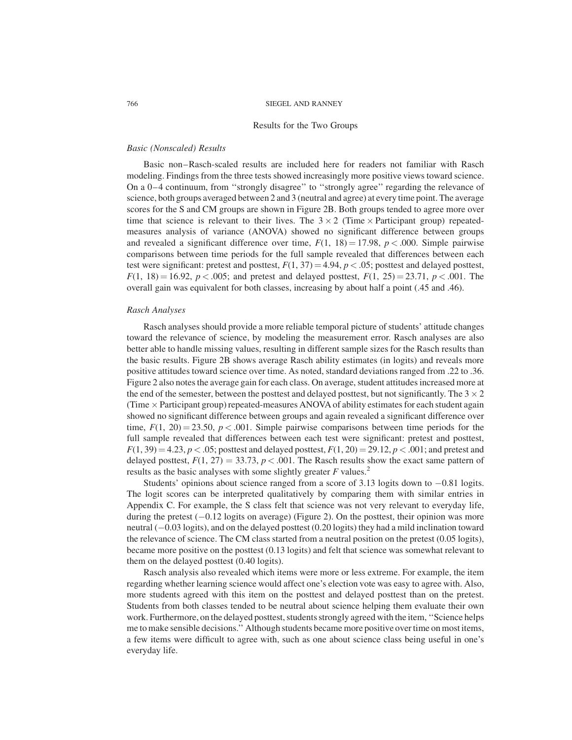#### Results for the Two Groups

# Basic (Nonscaled) Results

Basic non–Rasch-scaled results are included here for readers not familiar with Rasch modeling. Findings from the three tests showed increasingly more positive views toward science. On a 0–4 continuum, from ''strongly disagree'' to ''strongly agree'' regarding the relevance of science, both groups averaged between 2 and 3 (neutral and agree) at every time point. The average scores for the S and CM groups are shown in Figure 2B. Both groups tended to agree more over time that science is relevant to their lives. The  $3 \times 2$  (Time  $\times$  Participant group) repeatedmeasures analysis of variance (ANOVA) showed no significant difference between groups and revealed a significant difference over time,  $F(1, 18) = 17.98$ ,  $p < .000$ . Simple pairwise comparisons between time periods for the full sample revealed that differences between each test were significant: pretest and posttest,  $F(1, 37) = 4.94$ ,  $p < .05$ ; posttest and delayed posttest,  $F(1, 18) = 16.92, p < .005$ ; and pretest and delayed posttest,  $F(1, 25) = 23.71, p < .001$ . The overall gain was equivalent for both classes, increasing by about half a point (.45 and .46).

#### Rasch Analyses

Rasch analyses should provide a more reliable temporal picture of students' attitude changes toward the relevance of science, by modeling the measurement error. Rasch analyses are also better able to handle missing values, resulting in different sample sizes for the Rasch results than the basic results. Figure 2B shows average Rasch ability estimates (in logits) and reveals more positive attitudes toward science over time. As noted, standard deviations ranged from .22 to .36. Figure 2 also notes the average gain for each class. On average, student attitudes increased more at the end of the semester, between the posttest and delayed posttest, but not significantly. The  $3 \times 2$ (Time  $\times$  Participant group) repeated-measures ANOVA of ability estimates for each student again showed no significant difference between groups and again revealed a significant difference over time,  $F(1, 20) = 23.50$ ,  $p < .001$ . Simple pairwise comparisons between time periods for the full sample revealed that differences between each test were significant: pretest and posttest,  $F(1, 39) = 4.23, p < .05$ ; posttest and delayed posttest,  $F(1, 20) = 29.12, p < .001$ ; and pretest and delayed posttest,  $F(1, 27) = 33.73$ ,  $p < .001$ . The Rasch results show the exact same pattern of results as the basic analyses with some slightly greater  $F$  values.<sup>2</sup>

Students' opinions about science ranged from a score of  $3.13$  logits down to  $-0.81$  logits. The logit scores can be interpreted qualitatively by comparing them with similar entries in Appendix C. For example, the S class felt that science was not very relevant to everyday life, during the pretest  $(-0.12 \text{ logits on average})$  (Figure 2). On the posttest, their opinion was more neutral  $(-0.03 \text{ logits})$ , and on the delayed posttest  $(0.20 \text{ logits})$  they had a mild inclination toward the relevance of science. The CM class started from a neutral position on the pretest (0.05 logits), became more positive on the posttest (0.13 logits) and felt that science was somewhat relevant to them on the delayed posttest (0.40 logits).

Rasch analysis also revealed which items were more or less extreme. For example, the item regarding whether learning science would affect one's election vote was easy to agree with. Also, more students agreed with this item on the posttest and delayed posttest than on the pretest. Students from both classes tended to be neutral about science helping them evaluate their own work. Furthermore, on the delayed posttest, students strongly agreed with the item, "Science helps me tomake sensible decisions.'' Although students became more positive overtime onmost items, a few items were difficult to agree with, such as one about science class being useful in one's everyday life.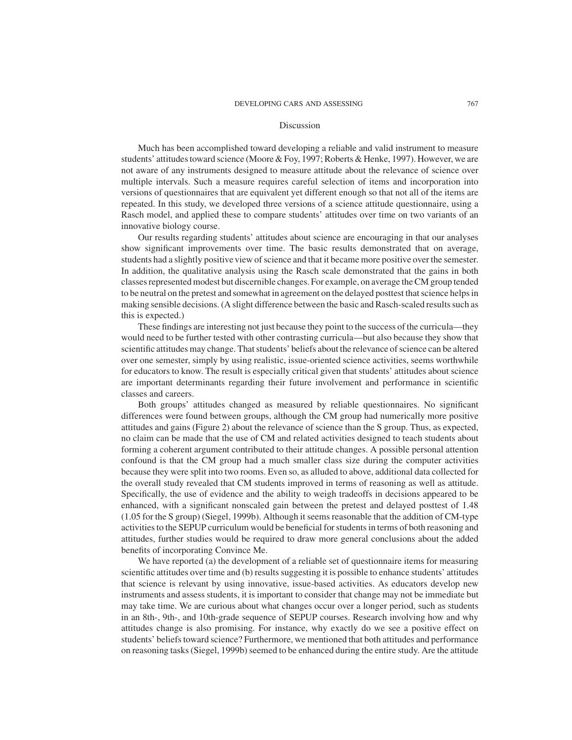#### Discussion

Much has been accomplished toward developing a reliable and valid instrument to measure students' attitudes toward science (Moore & Foy, 1997; Roberts & Henke, 1997). However, we are not aware of any instruments designed to measure attitude about the relevance of science over multiple intervals. Such a measure requires careful selection of items and incorporation into versions of questionnaires that are equivalent yet different enough so that not all of the items are repeated. In this study, we developed three versions of a science attitude questionnaire, using a Rasch model, and applied these to compare students' attitudes over time on two variants of an innovative biology course.

Our results regarding students' attitudes about science are encouraging in that our analyses show significant improvements over time. The basic results demonstrated that on average, students had a slightly positive view of science and that it became more positive over the semester. In addition, the qualitative analysis using the Rasch scale demonstrated that the gains in both classesrepresentedmodest but discernible changes. For example, on average theCM group tended to be neutral on the pretest and somewhat in agreement on the delayed posttest thatscience helpsin making sensible decisions. (A slight difference between the basic and Rasch-scaled resultssuch as this is expected.)

These findings are interesting not just because they point to the success of the curricula—they would need to be further tested with other contrasting curricula—but also because they show that scientific attitudes may change. That students' beliefs about the relevance of science can be altered over one semester, simply by using realistic, issue-oriented science activities, seems worthwhile for educators to know. The result is especially critical given that students' attitudes about science are important determinants regarding their future involvement and performance in scientific classes and careers.

Both groups' attitudes changed as measured by reliable questionnaires. No significant differences were found between groups, although the CM group had numerically more positive attitudes and gains (Figure 2) about the relevance of science than the S group. Thus, as expected, no claim can be made that the use of CM and related activities designed to teach students about forming a coherent argument contributed to their attitude changes. A possible personal attention confound is that the CM group had a much smaller class size during the computer activities because they were split into two rooms. Even so, as alluded to above, additional data collected for the overall study revealed that CM students improved in terms of reasoning as well as attitude. Specifically, the use of evidence and the ability to weigh tradeoffs in decisions appeared to be enhanced, with a significant nonscaled gain between the pretest and delayed posttest of 1.48 (1.05 for the S group) (Siegel, 1999b). Although it seems reasonable that the addition of CM-type activities to the SEPUP curriculum would be beneficial for students in terms of both reasoning and attitudes, further studies would be required to draw more general conclusions about the added benefits of incorporating Convince Me.

We have reported (a) the development of a reliable set of questionnaire items for measuring scientific attitudes over time and (b) results suggesting it is possible to enhance students' attitudes that science is relevant by using innovative, issue-based activities. As educators develop new instruments and assess students, it is important to consider that change may not be immediate but may take time. We are curious about what changes occur over a longer period, such as students in an 8th-, 9th-, and 10th-grade sequence of SEPUP courses. Research involving how and why attitudes change is also promising. For instance, why exactly do we see a positive effect on students' beliefs toward science? Furthermore, we mentioned that both attitudes and performance on reasoning tasks (Siegel, 1999b) seemed to be enhanced during the entire study. Are the attitude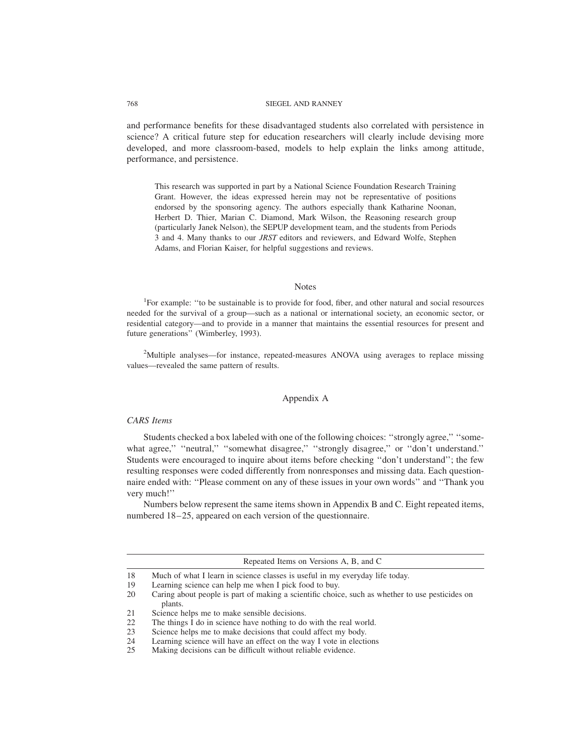and performance benefits for these disadvantaged students also correlated with persistence in science? A critical future step for education researchers will clearly include devising more developed, and more classroom-based, models to help explain the links among attitude, performance, and persistence.

This research was supported in part by a National Science Foundation Research Training Grant. However, the ideas expressed herein may not be representative of positions endorsed by the sponsoring agency. The authors especially thank Katharine Noonan, Herbert D. Thier, Marian C. Diamond, Mark Wilson, the Reasoning research group (particularly Janek Nelson), the SEPUP development team, and the students from Periods 3 and 4. Many thanks to our JRST editors and reviewers, and Edward Wolfe, Stephen Adams, and Florian Kaiser, for helpful suggestions and reviews.

#### **Notes**

<sup>1</sup>For example: "to be sustainable is to provide for food, fiber, and other natural and social resources needed for the survival of a group—such as a national or international society, an economic sector, or residential category—and to provide in a manner that maintains the essential resources for present and future generations'' (Wimberley, 1993).

<sup>2</sup>Multiple analyses—for instance, repeated-measures ANOVA using averages to replace missing values—revealed the same pattern of results.

#### Appendix A

# CARS Items

Students checked a box labeled with one of the following choices: ''strongly agree,'' ''somewhat agree," "neutral," "somewhat disagree," "strongly disagree," or "don't understand." Students were encouraged to inquire about items before checking ''don't understand''; the few resulting responses were coded differently from nonresponses and missing data. Each questionnaire ended with: ''Please comment on any of these issues in your own words'' and ''Thank you very much!''

Numbers below represent the same items shown in Appendix B and C. Eight repeated items, numbered 18–25, appeared on each version of the questionnaire.

Repeated Items on Versions A, B, and C

- 18 Much of what I learn in science classes is useful in my everyday life today.<br>19 Learning science can help me when I pick food to buy.
- Learning science can help me when I pick food to buy.
- 20 Caring about people is part of making a scientific choice, such as whether to use pesticides on plants.
- 21 Science helps me to make sensible decisions.<br>22 The things I do in science have nothing to do
- The things I do in science have nothing to do with the real world.
- 23 Science helps me to make decisions that could affect my body.<br>24 Learning science will have an effect on the way I vote in election
- Learning science will have an effect on the way I vote in elections
- 25 Making decisions can be difficult without reliable evidence.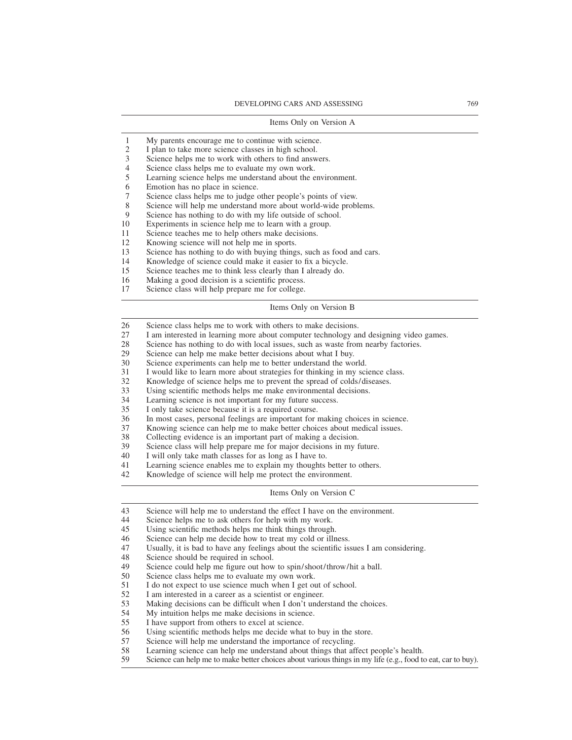#### Items Only on Version A

- 1 My parents encourage me to continue with science.
- 2 I plan to take more science classes in high school.<br>3 Science helps me to work with others to find answ
- 3 Science helps me to work with others to find answers.<br>4 Science class helps me to evaluate my own work.
- Science class helps me to evaluate my own work.
- 5 Learning science helps me understand about the environment.
- 6 Emotion has no place in science.
- 7 Science class helps me to judge other people's points of view.
- 8 Science will help me understand more about world-wide problems.<br>9 Science has nothing to do with my life outside of school
- Science has nothing to do with my life outside of school.
- 10 Experiments in science help me to learn with a group.
- 11 Science teaches me to help others make decisions.<br>12 Knowing science will not help me in sports.
- 12 Knowing science will not help me in sports.<br>13 Science has nothing to do with buying thing.
- 13 Science has nothing to do with buying things, such as food and cars.<br>14 Knowledge of science could make it easier to fix a bicycle.
- Knowledge of science could make it easier to fix a bicycle.
- 15 Science teaches me to think less clearly than I already do.
- 16 Making a good decision is a scientific process.
- 17 Science class will help prepare me for college.

Items Only on Version B

- 26 Science class helps me to work with others to make decisions.<br>27 I am interested in learning more about computer technology are
- 27 I am interested in learning more about computer technology and designing video games.<br>28 Science has nothing to do with local issues, such as waste from nearby factories.
- 28 Science has nothing to do with local issues, such as waste from nearby factories.<br>29 Science can help me make better decisions about what I buy.
- Science can help me make better decisions about what I buy.
- 30 Science experiments can help me to better understand the world.
- 31 I would like to learn more about strategies for thinking in my science class.<br>32 Knowledge of science helps me to prevent the spread of colds/diseases.
- Knowledge of science helps me to prevent the spread of colds/diseases.
- 33 Using scientific methods helps me make environmental decisions.<br>34 Learning science is not important for my future success.
- Learning science is not important for my future success.
- 35 I only take science because it is a required course.
- 36 In most cases, personal feelings are important for making choices in science.<br>37 Knowing science can help me to make better choices about medical issues.
- 37 Knowing science can help me to make better choices about medical issues.<br>38 Collecting evidence is an important part of making a decision.
- 38 Collecting evidence is an important part of making a decision.<br>39 Science class will help prepare me for maior decisions in my fi
- Science class will help prepare me for major decisions in my future.
- 40 I will only take math classes for as long as I have to.
- 41 Learning science enables me to explain my thoughts better to others.<br>42 Knowledge of science will help me protect the environment.
- Knowledge of science will help me protect the environment.

#### Items Only on Version C

- 43 Science will help me to understand the effect I have on the environment.
- 44 Science helps me to ask others for help with my work.<br>45 Using scientific methods helps me think things through
- 45 Using scientific methods helps me think things through.<br>46 Science can help me decide how to treat my cold or illn
- Science can help me decide how to treat my cold or illness.
- 47 Usually, it is bad to have any feelings about the scientific issues I am considering.
- 48 Science should be required in school.
- 49 Science could help me figure out how to spin/shoot/throw/hit a ball.<br>50 Science class helps me to evaluate my own work.
- 50 Science class helps me to evaluate my own work.<br>51 I do not expect to use science much when I get ou
- I do not expect to use science much when I get out of school.
- 52 I am interested in a career as a scientist or engineer.
- 53 Making decisions can be difficult when I don't understand the choices.<br>54 My intuition helps me make decisions in science.
- 54 My intuition helps me make decisions in science.<br>55 I have support from others to excel at science.
- I have support from others to excel at science.
- 56 Using scientific methods helps me decide what to buy in the store.<br>57 Science will help me understand the importance of recycling.
- Science will help me understand the importance of recycling.
- 58 Learning science can help me understand about things that affect people's health.<br>59 Science can help me to make better choices about various things in my life (e.g., food to
- Science can help me to make better choices about various things in my life (e.g., food to eat, car to buy).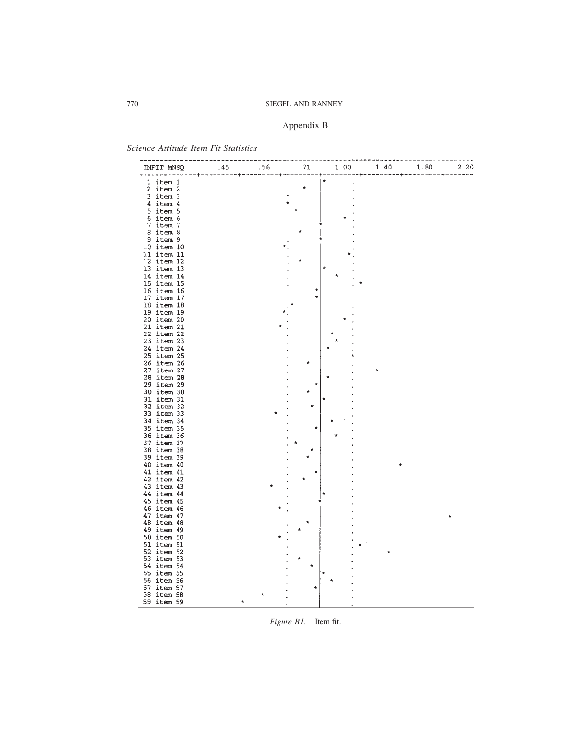# Appendix B

Science Attitude Item Fit Statistics

| INFIT MNSQ               | . 45 | .56 | .71 | 1.00 | 1.40 | 1.80   | 2.20 |
|--------------------------|------|-----|-----|------|------|--------|------|
| 1 item 1                 |      |     |     |      |      | --+--- |      |
| 2 item 2                 |      |     |     |      |      |        |      |
| 3 item 3                 |      |     |     |      |      |        |      |
| 4 item 4                 |      |     |     |      |      |        |      |
| 5 item 5                 |      |     |     |      |      |        |      |
| 6 item 6                 |      |     |     |      |      |        |      |
| 7 item 7                 |      |     |     |      |      |        |      |
| 8 item 8                 |      |     |     |      |      |        |      |
| 9 item 9                 |      |     |     |      |      |        |      |
| 10 item 10               |      |     |     |      |      |        |      |
| 11 item 11               |      |     |     |      |      |        |      |
| 12 item 12               |      |     |     |      |      |        |      |
| 13 item 13               |      |     |     |      |      |        |      |
| 14 item 14               |      |     |     |      |      |        |      |
| 15 item 15               |      |     |     |      |      |        |      |
| 16 item 16               |      |     |     |      |      |        |      |
| 17 item 17               |      |     |     |      |      |        |      |
| 18 item 18               |      |     |     |      |      |        |      |
| 19 item 19               |      |     |     |      |      |        |      |
| 20 item 20               |      |     |     |      |      |        |      |
| 21 item 21               |      |     |     |      |      |        |      |
| 22 item 22               |      |     |     |      |      |        |      |
| 23 item 23               |      |     |     |      |      |        |      |
| 24 item 24               |      |     |     |      |      |        |      |
| 25 item 25               |      |     |     |      |      |        |      |
|                          |      |     |     |      |      |        |      |
| 26 item 26               |      |     |     |      |      |        |      |
| 27 item 27               |      |     |     |      |      |        |      |
| 28 item 28               |      |     |     |      |      |        |      |
| 29 item 29               |      |     |     |      |      |        |      |
| 30 item 30<br>31 item 31 |      |     |     |      |      |        |      |
| 32 item 32               |      |     |     |      |      |        |      |
|                          |      |     |     |      |      |        |      |
| 33 item 33<br>34 item 34 |      |     |     |      |      |        |      |
| 35 item 35               |      |     |     |      |      |        |      |
|                          |      |     |     |      |      |        |      |
| 36 item 36<br>37 item 37 |      |     |     |      |      |        |      |
| 38 item 38               |      |     |     |      |      |        |      |
| 39 item 39               |      |     |     |      |      |        |      |
| 40 item 40               |      |     |     |      |      |        |      |
| 41 item 41               |      |     |     |      |      |        |      |
| 42 item 42               |      |     |     |      |      |        |      |
| 43 item 43               |      |     |     |      |      |        |      |
| 44 item 44               |      |     |     |      |      |        |      |
| 45 item 45               |      |     |     |      |      |        |      |
| 46 item 46               |      |     |     |      |      |        |      |
| 47 item 47               |      |     |     |      |      |        |      |
|                          |      |     |     |      |      |        |      |
| 48 item 48               |      |     |     |      |      |        |      |
| 49 item 49<br>50 item 50 |      |     |     |      |      |        |      |
| 51 item 51               |      |     |     |      |      |        |      |
| 52 item 52               |      |     |     |      |      |        |      |
|                          |      |     |     |      |      |        |      |
| 53 item 53<br>54 item 54 |      |     |     |      |      |        |      |
| 55 item 55               |      |     |     |      |      |        |      |
| 56 item 56               |      |     |     |      |      |        |      |
|                          |      |     |     |      |      |        |      |
| 57 item 57<br>58 item 58 |      |     |     |      |      |        |      |
|                          |      |     |     |      |      |        |      |
| 59 item 59               |      |     |     |      |      |        |      |

Figure B1. Item fit.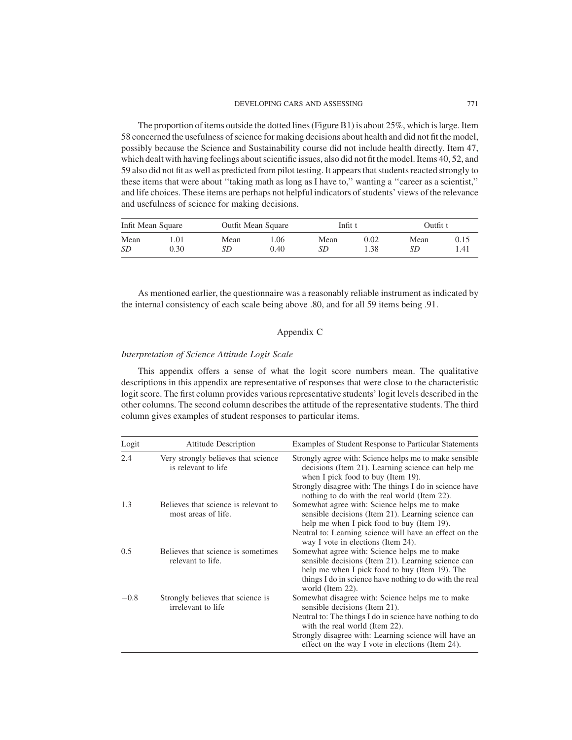The proportion of items outside the dotted lines (Figure B1) is about  $25\%$ , which is large. Item 58 concerned the usefulness of science for making decisions about health and did not fit the model, possibly because the Science and Sustainability course did not include health directly. Item 47, which dealt with having feelings about scientific issues, also did not fit the model. Items 40, 52, and 59 also did not fit as well as predicted from pilot testing. It appears that students reacted strongly to these items that were about ''taking math as long as I have to,'' wanting a ''career as a scientist,'' and life choices. These items are perhaps not helpful indicators of students' views of the relevance and usefulness of science for making decisions.

| Infit Mean Square |      |      | <b>Outfit Mean Square</b> |      | Infit t |      | Outfit t |  |
|-------------------|------|------|---------------------------|------|---------|------|----------|--|
| Mean              | .01  | Mean | 1.06                      | Mean | 0.02    | Mean | 0.15     |  |
| SD                | 0.30 | SD   | 0.40                      | SD   | 1.38    | SD   | 1.41     |  |

As mentioned earlier, the questionnaire was a reasonably reliable instrument as indicated by the internal consistency of each scale being above .80, and for all 59 items being .91.

# Appendix C

# Interpretation of Science Attitude Logit Scale

This appendix offers a sense of what the logit score numbers mean. The qualitative descriptions in this appendix are representative of responses that were close to the characteristic logit score. The first column provides various representative students' logit levels described in the other columns. The second column describes the attitude of the representative students. The third column gives examples of student responses to particular items.

| Logit  | <b>Attitude Description</b>                                 | Examples of Student Response to Particular Statements                                                                                                                                                                                |
|--------|-------------------------------------------------------------|--------------------------------------------------------------------------------------------------------------------------------------------------------------------------------------------------------------------------------------|
| 2.4    | Very strongly believes that science<br>is relevant to life  | Strongly agree with: Science helps me to make sensible<br>decisions (Item 21). Learning science can help me<br>when I pick food to buy (Item 19).<br>Strongly disagree with: The things I do in science have                         |
|        |                                                             | nothing to do with the real world (Item 22).                                                                                                                                                                                         |
| 1.3    | Believes that science is relevant to<br>most areas of life. | Somewhat agree with: Science helps me to make<br>sensible decisions (Item 21). Learning science can<br>help me when I pick food to buy (Item 19).                                                                                    |
|        |                                                             | Neutral to: Learning science will have an effect on the<br>way I vote in elections (Item 24).                                                                                                                                        |
| 0.5    | Believes that science is sometimes<br>relevant to life.     | Somewhat agree with: Science helps me to make<br>sensible decisions (Item 21). Learning science can<br>help me when I pick food to buy (Item 19). The<br>things I do in science have nothing to do with the real<br>world (Item 22). |
| $-0.8$ | Strongly believes that science is<br>irrelevant to life     | Somewhat disagree with: Science helps me to make<br>sensible decisions (Item 21).                                                                                                                                                    |
|        |                                                             | Neutral to: The things I do in science have nothing to do<br>with the real world (Item 22).                                                                                                                                          |
|        |                                                             | Strongly disagree with: Learning science will have an<br>effect on the way I vote in elections (Item 24).                                                                                                                            |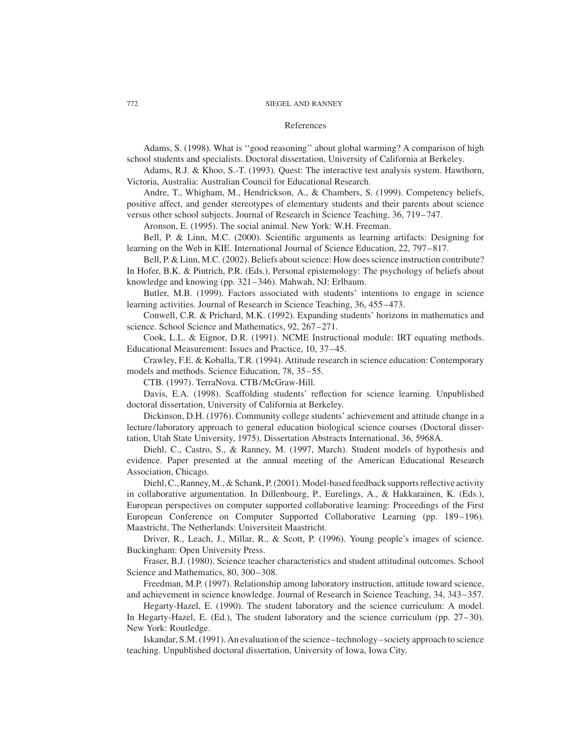#### References

Adams, S. (1998). What is ''good reasoning'' about global warming? A comparison of high school students and specialists. Doctoral dissertation, University of California at Berkeley.

Adams, R.J. & Khoo, S.-T. (1993). Quest: The interactive test analysis system. Hawthorn, Victoria, Australia: Australian Council for Educational Research.

Andre, T., Whigham, M., Hendrickson, A., & Chambers, S. (1999). Competency beliefs, positive affect, and gender stereotypes of elementary students and their parents about science versus other school subjects. Journal of Research in Science Teaching, 36, 719–747.

Aronson, E. (1995). The social animal. New York: W.H. Freeman.

Bell, P. & Linn, M.C. (2000). Scientific arguments as learning artifacts: Designing for learning on the Web in KIE. International Journal of Science Education, 22, 797–817.

Bell, P. & Linn, M.C. (2002). Beliefs about science: How does science instruction contribute? In Hofer, B.K. & Pintrich, P.R. (Eds.), Personal epistemology: The psychology of beliefs about knowledge and knowing (pp. 321–346). Mahwah, NJ: Erlbaum.

Butler, M.B. (1999). Factors associated with students' intentions to engage in science learning activities. Journal of Research in Science Teaching, 36, 455–473.

Conwell, C.R. & Prichard, M.K. (1992). Expanding students' horizons in mathematics and science. School Science and Mathematics, 92, 267–271.

Cook, L.L. & Eignor, D.R. (1991). NCME Instructional module: IRT equating methods. Educational Measurement: Issues and Practice, 10, 37–45.

Crawley, F.E. & Koballa, T.R. (1994). Attitude research in science education: Contemporary models and methods. Science Education, 78, 35–55.

CTB. (1997). TerraNova. CTB/McGraw-Hill.

Davis, E.A. (1998). Scaffolding students' reflection for science learning. Unpublished doctoral dissertation, University of California at Berkeley.

Dickinson, D.H. (1976). Community college students' achievement and attitude change in a lecture/laboratory approach to general education biological science courses (Doctoral dissertation, Utah State University, 1975). Dissertation Abstracts International, 36, 5968A.

Diehl, C., Castro, S., & Ranney, M. (1997, March). Student models of hypothesis and evidence. Paper presented at the annual meeting of the American Educational Research Association, Chicago.

Diehl, C., Ranney, M., & Schank, P. (2001). Model-based feedback supports reflective activity in collaborative argumentation. In Dillenbourg, P., Eurelings, A., & Hakkarainen, K. (Eds.), European perspectives on computer supported collaborative learning: Proceedings of the First European Conference on Computer Supported Collaborative Learning (pp. 189–196). Maastricht, The Netherlands: Universiteit Maastricht.

Driver, R., Leach, J., Millar, R., & Scott, P. (1996). Young people's images of science. Buckingham: Open University Press.

Fraser, B.J. (1980). Science teacher characteristics and student attitudinal outcomes. School Science and Mathematics, 80, 300–308.

Freedman, M.P. (1997). Relationship among laboratory instruction, attitude toward science, and achievement in science knowledge. Journal of Research in Science Teaching, 34, 343–357.

Hegarty-Hazel, E. (1990). The student laboratory and the science curriculum: A model. In Hegarty-Hazel, E. (Ed.), The student laboratory and the science curriculum (pp. 27–30). New York: Routledge.

Iskandar, S.M. (1991). An evaluation of the science–technology–society approach to science teaching. Unpublished doctoral dissertation, University of Iowa, Iowa City.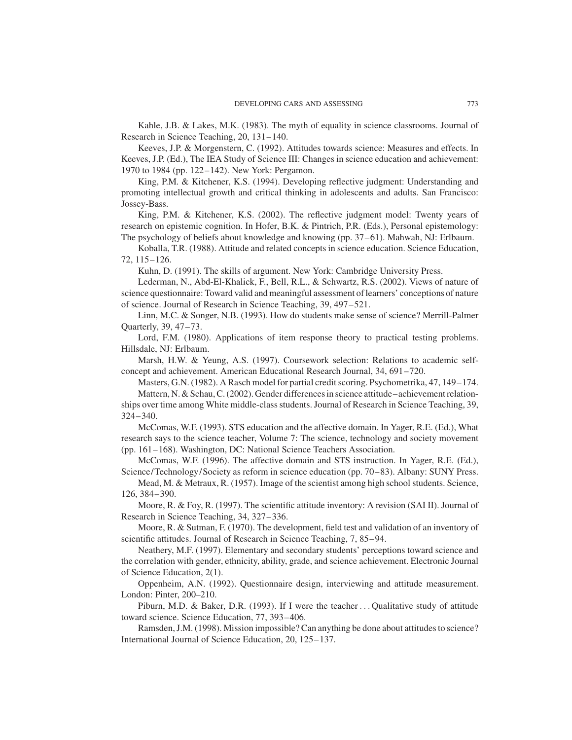Kahle, J.B. & Lakes, M.K. (1983). The myth of equality in science classrooms. Journal of Research in Science Teaching, 20, 131–140.

Keeves, J.P. & Morgenstern, C. (1992). Attitudes towards science: Measures and effects. In Keeves, J.P. (Ed.), The IEA Study of Science III: Changes in science education and achievement: 1970 to 1984 (pp. 122–142). New York: Pergamon.

King, P.M. & Kitchener, K.S. (1994). Developing reflective judgment: Understanding and promoting intellectual growth and critical thinking in adolescents and adults. San Francisco: Jossey-Bass.

King, P.M. & Kitchener, K.S. (2002). The reflective judgment model: Twenty years of research on epistemic cognition. In Hofer, B.K. & Pintrich, P.R. (Eds.), Personal epistemology: The psychology of beliefs about knowledge and knowing (pp. 37–61). Mahwah, NJ: Erlbaum.

Koballa, T.R. (1988). Attitude and related concepts in science education. Science Education, 72, 115–126.

Kuhn, D. (1991). The skills of argument. New York: Cambridge University Press.

Lederman, N., Abd-El-Khalick, F., Bell, R.L., & Schwartz, R.S. (2002). Views of nature of science questionnaire: Toward valid and meaningful assessment oflearners' conceptions of nature of science. Journal of Research in Science Teaching, 39, 497–521.

Linn, M.C. & Songer, N.B. (1993). How do students make sense of science? Merrill-Palmer Quarterly, 39, 47–73.

Lord, F.M. (1980). Applications of item response theory to practical testing problems. Hillsdale, NJ: Erlbaum.

Marsh, H.W. & Yeung, A.S. (1997). Coursework selection: Relations to academic selfconcept and achievement. American Educational Research Journal, 34, 691–720.

Masters, G.N. (1982). A Rasch model for partial credit scoring. Psychometrika, 47, 149–174.

Mattern, N. & Schau, C. (2002). Gender differences in science attitude–achievement relationships over time among White middle-classstudents.Journal of Research in Science Teaching, 39, 324–340.

McComas, W.F. (1993). STS education and the affective domain. In Yager, R.E. (Ed.), What research says to the science teacher, Volume 7: The science, technology and society movement (pp. 161–168). Washington, DC: National Science Teachers Association.

McComas, W.F. (1996). The affective domain and STS instruction. In Yager, R.E. (Ed.), Science/Technology/Society as reform in science education (pp. 70–83). Albany: SUNY Press.

Mead, M. & Metraux, R. (1957). Image of the scientist among high school students. Science, 126, 384–390.

Moore, R. & Foy, R. (1997). The scientific attitude inventory: A revision (SAI II). Journal of Research in Science Teaching, 34, 327–336.

Moore, R. & Sutman, F. (1970). The development, field test and validation of an inventory of scientific attitudes. Journal of Research in Science Teaching, 7, 85–94.

Neathery, M.F. (1997). Elementary and secondary students' perceptions toward science and the correlation with gender, ethnicity, ability, grade, and science achievement. Electronic Journal of Science Education, 2(1).

Oppenheim, A.N. (1992). Questionnaire design, interviewing and attitude measurement. London: Pinter, 200–210.

Piburn, M.D. & Baker, D.R. (1993). If I were the teacher ... Qualitative study of attitude toward science. Science Education, 77, 393–406.

Ramsden, J.M. (1998). Mission impossible? Can anything be done about attitudes to science? International Journal of Science Education, 20, 125–137.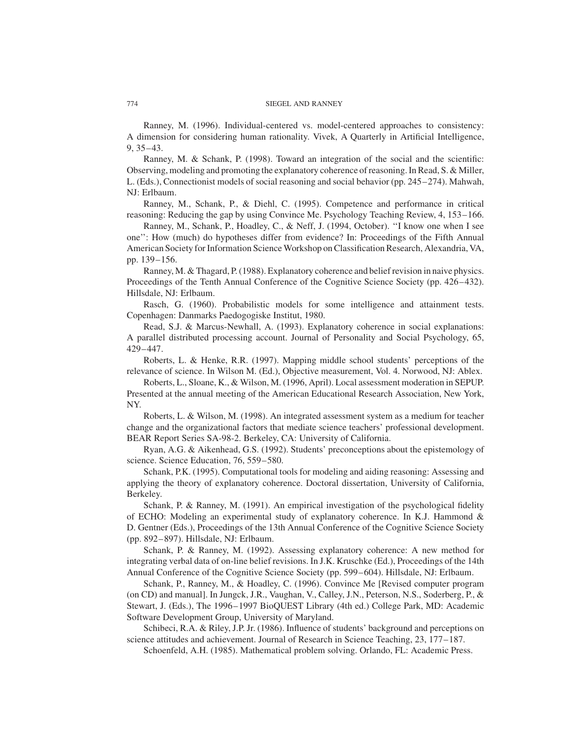Ranney, M. (1996). Individual-centered vs. model-centered approaches to consistency: A dimension for considering human rationality. Vivek, A Quarterly in Artificial Intelligence, 9, 35–43.

Ranney, M. & Schank, P. (1998). Toward an integration of the social and the scientific: Observing, modeling and promoting the explanatory coherence of reasoning. In Read, S. & Miller, L. (Eds.), Connectionist models of social reasoning and social behavior (pp. 245–274). Mahwah, NJ: Erlbaum.

Ranney, M., Schank, P., & Diehl, C. (1995). Competence and performance in critical reasoning: Reducing the gap by using Convince Me. Psychology Teaching Review, 4, 153–166.

Ranney, M., Schank, P., Hoadley, C., & Neff, J. (1994, October). ''I know one when I see one'': How (much) do hypotheses differ from evidence? In: Proceedings of the Fifth Annual American Society for Information Science Workshop on Classification Research, Alexandria, VA, pp. 139–156.

Ranney, M. & Thagard, P.(1988). Explanatory coherence and belief revision in naive physics. Proceedings of the Tenth Annual Conference of the Cognitive Science Society (pp. 426–432). Hillsdale, NJ: Erlbaum.

Rasch, G. (1960). Probabilistic models for some intelligence and attainment tests. Copenhagen: Danmarks Paedogogiske Institut, 1980.

Read, S.J. & Marcus-Newhall, A. (1993). Explanatory coherence in social explanations: A parallel distributed processing account. Journal of Personality and Social Psychology, 65, 429–447.

Roberts, L. & Henke, R.R. (1997). Mapping middle school students' perceptions of the relevance of science. In Wilson M. (Ed.), Objective measurement, Vol. 4. Norwood, NJ: Ablex.

Roberts, L., Sloane, K., & Wilson, M. (1996, April). Local assessment moderation in SEPUP. Presented at the annual meeting of the American Educational Research Association, New York, NY.

Roberts, L. & Wilson, M. (1998). An integrated assessment system as a medium for teacher change and the organizational factors that mediate science teachers' professional development. BEAR Report Series SA-98-2. Berkeley, CA: University of California.

Ryan, A.G. & Aikenhead, G.S. (1992). Students' preconceptions about the epistemology of science. Science Education, 76, 559–580.

Schank, P.K. (1995). Computational tools for modeling and aiding reasoning: Assessing and applying the theory of explanatory coherence. Doctoral dissertation, University of California, Berkeley.

Schank, P. & Ranney, M. (1991). An empirical investigation of the psychological fidelity of ECHO: Modeling an experimental study of explanatory coherence. In K.J. Hammond & D. Gentner (Eds.), Proceedings of the 13th Annual Conference of the Cognitive Science Society (pp. 892–897). Hillsdale, NJ: Erlbaum.

Schank, P. & Ranney, M. (1992). Assessing explanatory coherence: A new method for integrating verbal data of on-line belief revisions. In J.K. Kruschke (Ed.), Proceedings of the 14th Annual Conference of the Cognitive Science Society (pp. 599–604). Hillsdale, NJ: Erlbaum.

Schank, P., Ranney, M., & Hoadley, C. (1996). Convince Me [Revised computer program (on CD) and manual]. In Jungck, J.R., Vaughan, V., Calley, J.N., Peterson, N.S., Soderberg, P., & Stewart, J. (Eds.), The 1996–1997 BioQUEST Library (4th ed.) College Park, MD: Academic Software Development Group, University of Maryland.

Schibeci, R.A. & Riley, J.P. Jr. (1986). Influence of students' background and perceptions on science attitudes and achievement. Journal of Research in Science Teaching, 23, 177–187.

Schoenfeld, A.H. (1985). Mathematical problem solving. Orlando, FL: Academic Press.